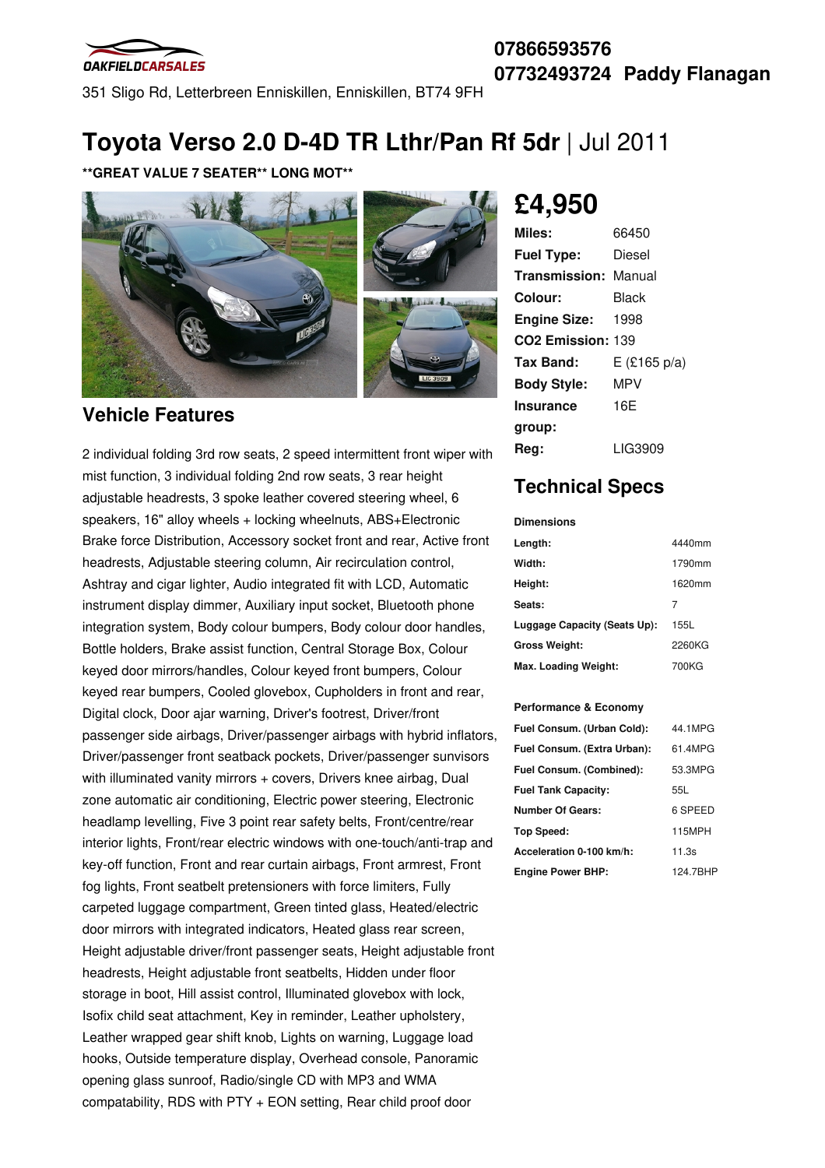

351 Sligo Rd, Letterbreen Enniskillen, Enniskillen, BT74 9FH

# **Toyota Verso 2.0 D-4D TR Lthr/Pan Rf 5dr** |Jul 2011

#### **\*\*GREAT VALUE 7 SEATER\*\* LONG MOT\*\***



### **Vehicle Features**

2 individual folding 3rd row seats, 2 speed intermittent front wiper with mist function, 3 individual folding 2nd row seats, 3 rear height adjustable headrests, 3 spoke leather covered steering wheel, 6 speakers, 16" alloy wheels + locking wheelnuts, ABS+Electronic Brake force Distribution, Accessory socket front and rear, Active front headrests, Adjustable steering column, Air recirculation control, Ashtray and cigar lighter, Audio integrated fit with LCD, Automatic instrument display dimmer, Auxiliary input socket, Bluetooth phone integration system, Body colour bumpers, Body colour door handles, Bottle holders, Brake assist function, Central Storage Box, Colour keyed door mirrors/handles, Colour keyed front bumpers, Colour keyed rear bumpers, Cooled glovebox, Cupholders in front and rear, Digital clock, Door ajar warning, Driver's footrest, Driver/front passenger side airbags, Driver/passenger airbags with hybrid inflators, Driver/passenger front seatback pockets, Driver/passenger sunvisors with illuminated vanity mirrors + covers, Drivers knee airbag, Dual zone automatic air conditioning, Electric power steering, Electronic headlamp levelling, Five 3 point rear safety belts, Front/centre/rear interior lights, Front/rear electric windows with one-touch/anti-trap and key-off function, Front and rear curtain airbags, Front armrest, Front fog lights, Front seatbelt pretensioners with force limiters, Fully carpeted luggage compartment, Green tinted glass, Heated/electric door mirrors with integrated indicators, Heated glass rear screen, Height adjustable driver/front passenger seats, Height adjustable front headrests, Height adjustable front seatbelts, Hidden under floor storage in boot, Hill assist control, Illuminated glovebox with lock, Isofix child seat attachment, Key in reminder, Leather upholstery, Leather wrapped gear shift knob, Lights on warning, Luggage load hooks, Outside temperature display, Overhead console, Panoramic opening glass sunroof, Radio/single CD with MP3 and WMA compatability, RDS with PTY + EON setting, Rear child proof door

# **£4,950**

| 66450                         |
|-------------------------------|
| Diesel                        |
| <b>Transmission: Manual</b>   |
| Black                         |
| 1998                          |
| CO <sub>2</sub> Emission: 139 |
| $E$ (£165 p/a)                |
| <b>MPV</b>                    |
| 16E                           |
|                               |
| LIG3909                       |
|                               |

### **Technical Specs**

#### **Dimensions**

| Length:                      | 4440mm |
|------------------------------|--------|
| Width:                       | 1790mm |
| Height:                      | 1620mm |
| Seats:                       | 7      |
| Luggage Capacity (Seats Up): | 155L   |
| <b>Gross Weight:</b>         | 2260KG |
| Max. Loading Weight:         | 700KG  |

#### **Performance & Economy**

| Fuel Consum. (Urban Cold):  | 44.1MPG       |
|-----------------------------|---------------|
| Fuel Consum. (Extra Urban): | 61.4MPG       |
| Fuel Consum. (Combined):    | 53.3MPG       |
| <b>Fuel Tank Capacity:</b>  | 55L           |
| <b>Number Of Gears:</b>     | 6 SPEED       |
| Top Speed:                  | <b>115MPH</b> |
| Acceleration 0-100 km/h:    | 11.3s         |
| <b>Engine Power BHP:</b>    | 124.7BHP      |